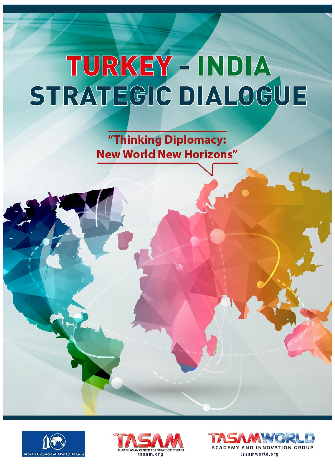"Thinking Diplomacy: **New World New Horizons"** 





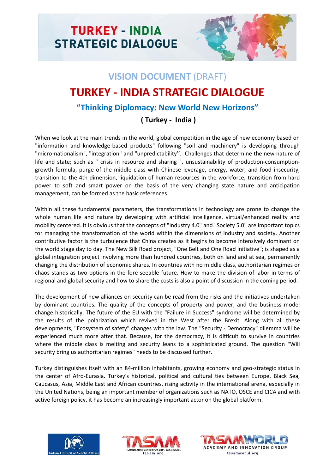

# **VISION DOCUMENT** (DRAFT) **TURKEY - INDIA STRATEGIC DIALOGUE "Thinking Diplomacy: New World New Horizons"**

## **( Turkey - India )**

When we look at the main trends in the world, global competition in the age of new economy based on "information and knowledge-based products" following "soil and machinery" is developing through "micro-nationalism", "integration" and "unpredictability''. Challenges that determine the new nature of life and state; such as " crisis in resource and sharing ", unsustainability of production-consumptiongrowth formula, purge of the middle class with Chinese leverage, energy, water, and food insecurity, transition to the 4th dimension, liquidation of human resources in the workforce, transition from hard power to soft and smart power on the basis of the very changing state nature and anticipation management, can be formed as the basic references.

Within all these fundamental parameters, the transformations in technology are prone to change the whole human life and nature by developing with artificial intelligence, virtual/enhanced reality and mobility centered. It is obvious that the concepts of "Industry 4.0" and "Society 5.0" are important topics for managing the transformation of the world within the dimensions of industry and society. Another contributive factor is the turbulence that China creates as it begins to become intensively dominant on the world stage day to day. The New Silk Road project, "One Belt and One Road Initiative"; is shaped as a global integration project involving more than hundred countries, both on land and at sea, permanently changing the distribution of economic shares. In countries with no middle class, authoritarian regimes or chaos stands as two options in the fore-seeable future. How to make the division of labor in terms of regional and global security and how to share the costs is also a point of discussion in the coming period.

The development of new alliances on security can be read from the risks and the initiatives undertaken by dominant countries. The quality of the concepts of property and power, and the business model change historically. The future of the EU with the "Failure in Success" syndrome will be determined by the results of the polarization which revived in the West after the Brexit. Along with all these developments, "Ecosystem of safety" changes with the law. The "Security - Democracy" dilemma will be experienced much more after that. Because, for the democracy, it is difficult to survive in countries where the middle class is melting and security leans to a sophisticated ground. The question "Will security bring us authoritarian regimes" needs to be discussed further.

Turkey distinguishes itself with an 84-million inhabitants, growing economy and geo-strategic status in the center of Afro-Eurasia. Turkey's historical, political and cultural ties between Europe, Black Sea, Caucasus, Asia, Middle East and African countries, rising activity in the international arena, especially in the United Nations, being an important member of organizations such as NATO, OSCE and CICA and with active foreign policy, it has become an increasingly important actor on the global platform.





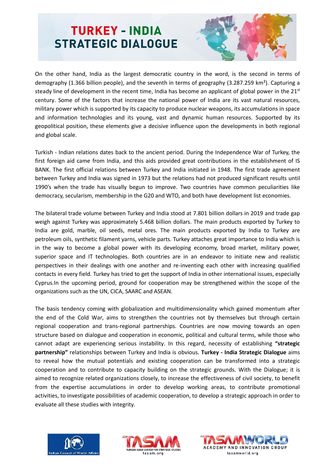

On the other hand, India as the largest democratic country in the word, is the second in terms of demography (1.366 billion people), and the seventh in terms of geography (3.287.259 km²). Capturing a steady line of development in the recent time, India has become an applicant of global power in the  $21<sup>st</sup>$ century. Some of the factors that increase the national power of India are its vast natural resources, military power which is supported by its capacity to produce nuclear weapons, its accumulations in space and information technologies and its young, vast and dynamic human resources. Supported by its geopolitical position, these elements give a decisive influence upon the developments in both regional and global scale.

Turkish - Indian relations dates back to the ancient period. During the Independence War of Turkey, the first foreign aid came from India, and this aids provided great contributions in the establishment of IS BANK. The first official relations between Turkey and India initiated in 1948. The first trade agreement between Turkey and India was signed in 1973 but the relations had not produced significant results until 1990's when the trade has visually begun to improve. Two countries have common peculiarities like democracy, secularism, membership in the G20 and WTO, and both have development list economies.

The bilateral trade volume between Turkey and India stood at 7.801 billion dollars in 2019 and trade gap weigh against Turkey was approximately 5.468 billion dollars. The main products exported by Turkey to India are gold, marble, oil seeds, metal ores. The main products exported by India to Turkey are petroleum oils, synthetic filament yarns, vehicle parts. Turkey attaches great importance to India which is in the way to become a global power with its developing economy, broad market, military power, superior space and IT technologies. Both countries are in an endeavor to initiate new and realistic perspectives in their dealings with one another and re-inventing each other with increasing qualified contacts in every field. Turkey has tried to get the support of India in other international issues, especially Cyprus.In the upcoming period, ground for cooperation may be strengthened within the scope of the organizations such as the UN, CICA, SAARC and ASEAN.

The basis tendency coming with globalization and multidimensionality which gained momentum after the end of the Cold War, aims to strengthen the countries not by themselves but through certain regional cooperation and trans-regional partnerships. Countries are now moving towards an open structure based on dialogue and cooperation in economic, political and cultural terms, while those who cannot adapt are experiencing serious instability. In this regard, necessity of establishing **"strategic partnership"** relationships between Turkey and India is obvious. **Turkey - India Strategic Dialogue** aims to reveal how the mutual potentials and existing cooperation can be transformed into a strategic cooperation and to contribute to capacity building on the strategic grounds. With the Dialogue; it is aimed to recognize related organizations closely, to increase the effectiveness of civil society, to benefit from the expertise accumulations in order to develop working areas, to contribute promotional activities, to investigate possibilities of academic cooperation, to develop a strategic approach in order to evaluate all these studies with integrity.





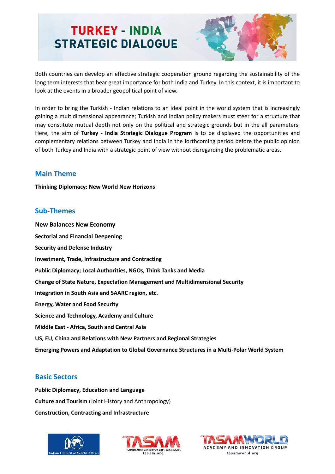

Both countries can develop an effective strategic cooperation ground regarding the sustainability of the long term interests that bear great importance for both India and Turkey. In this context, it is important to look at the events in a broader geopolitical point of view.

In order to bring the Turkish - Indian relations to an ideal point in the world system that is increasingly gaining a multidimensional appearance; Turkish and Indian policy makers must steer for a structure that may constitute mutual depth not only on the political and strategic grounds but in the all parameters. Here, the aim of **Turkey - India Strategic Dialogue Program** is to be displayed the opportunities and complementary relations between Turkey and India in the forthcoming period before the public opinion of both Turkey and India with a strategic point of view without disregarding the problematic areas.

### **Main Theme**

**Thinking Diplomacy: New World New Horizons**

#### **Sub-Themes**

**New Balances New Economy Sectorial and Financial Deepening Security and Defense Industry Investment, Trade, Infrastructure and Contracting Public Diplomacy; Local Authorities, NGOs, Think Tanks and Media Change of State Nature, Expectation Management and Multidimensional Security Integration in South Asia and SAARC region, etc. Energy, Water and Food Security Science and Technology, Academy and Culture Middle East - Africa, South and Central Asia US, EU, China and Relations with New Partners and Regional Strategies Emerging Powers and Adaptation to Global Governance Structures in a Multi-Polar World System**

## **Basic Sectors**

**Public Diplomacy, Education and Language Culture and Tourism** (Joint History and Anthropology) **Construction, Contracting and Infrastructure**





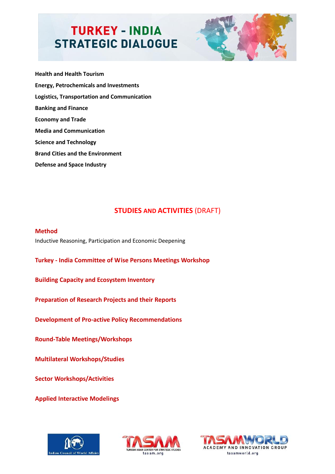

**Health and Health Tourism Energy, Petrochemicals and Investments Logistics, Transportation and Communication Banking and Finance Economy and Trade Media and Communication Science and Technology Brand Cities and the Environment Defense and Space Industry**

## **STUDIES AND ACTIVITIES (DRAFT)**

**Method** Inductive Reasoning, Participation and Economic Deepening

**Turkey - India Committee of Wise Persons Meetings Workshop**

**Building Capacity and Ecosystem Inventory**

**Preparation of Research Projects and their Reports**

**Development of Pro-active Policy Recommendations** 

**Round-Table Meetings/Workshops**

**Multilateral Workshops/Studies**

**Sector Workshops/Activities**

**Applied Interactive Modelings**